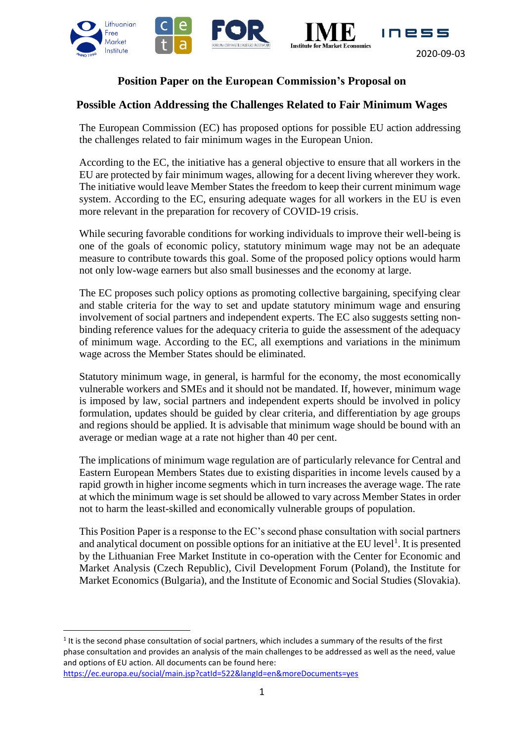

# **Position Paper on the European Commission's Proposal on**

## **Possible Action Addressing the Challenges Related to Fair Minimum Wages**

The European Commission (EC) has proposed options for possible EU action addressing the challenges related to fair minimum wages in the European Union.

According to the EC, the initiative has a general objective to ensure that all workers in the EU are protected by fair minimum wages, allowing for a decent living wherever they work. The initiative would leave Member States the freedom to keep their current minimum wage system. According to the EC, ensuring adequate wages for all workers in the EU is even more relevant in the preparation for recovery of COVID-19 crisis.

While securing favorable conditions for working individuals to improve their well-being is one of the goals of economic policy, statutory minimum wage may not be an adequate measure to contribute towards this goal. Some of the proposed policy options would harm not only low-wage earners but also small businesses and the economy at large.

The EC proposes such policy options as promoting collective bargaining, specifying clear and stable criteria for the way to set and update statutory minimum wage and ensuring involvement of social partners and independent experts. The EC also suggests setting nonbinding reference values for the adequacy criteria to guide the assessment of the adequacy of minimum wage. According to the EC, all exemptions and variations in the minimum wage across the Member States should be eliminated.

Statutory minimum wage, in general, is harmful for the economy, the most economically vulnerable workers and SMEs and it should not be mandated. If, however, minimum wage is imposed by law, social partners and independent experts should be involved in policy formulation, updates should be guided by clear criteria, and differentiation by age groups and regions should be applied. It is advisable that minimum wage should be bound with an average or median wage at a rate not higher than 40 per cent.

The implications of minimum wage regulation are of particularly relevance for Central and Eastern European Members States due to existing disparities in income levels caused by a rapid growth in higher income segments which in turn increases the average wage. The rate at which the minimum wage is set should be allowed to vary across Member States in order not to harm the least-skilled and economically vulnerable groups of population.

This Position Paper is a response to the EC's second phase consultation with social partners and analytical document on possible options for an initiative at the EU level<sup>1</sup>. It is presented by the Lithuanian Free Market Institute in co-operation with the Center for Economic and Market Analysis (Czech Republic), Civil Development Forum (Poland), the Institute for Market Economics (Bulgaria), and the Institute of Economic and Social Studies (Slovakia).

 $1$  It is the second phase consultation of social partners, which includes a summary of the results of the first phase consultation and provides an analysis of the main challenges to be addressed as well as the need, value and options of EU action. All documents can be found here:

<https://ec.europa.eu/social/main.jsp?catId=522&langId=en&moreDocuments=yes>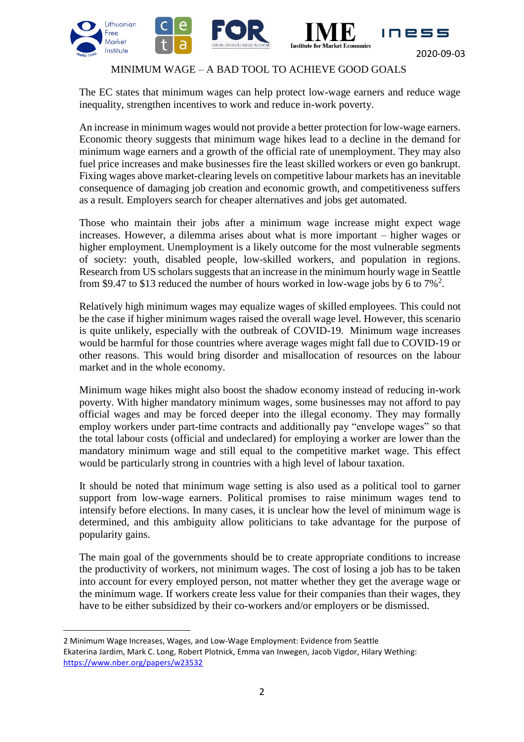



## MINIMUM WAGE – A BAD TOOL TO ACHIEVE GOOD GOALS

The EC states that minimum wages can help protect low-wage earners and reduce wage inequality, strengthen incentives to work and reduce in-work poverty.

An increase in minimum wages would not provide a better protection for low-wage earners. Economic theory suggests that minimum wage hikes lead to a decline in the demand for minimum wage earners and a growth of the official rate of unemployment. They may also fuel price increases and make businesses fire the least skilled workers or even go bankrupt. Fixing wages above market-clearing levels on competitive labour markets has an inevitable consequence of damaging job creation and economic growth, and competitiveness suffers as a result. Employers search for cheaper alternatives and jobs get automated.

Those who maintain their jobs after a minimum wage increase might expect wage increases. However, a dilemma arises about what is more important – higher wages or higher employment. Unemployment is a likely outcome for the most vulnerable segments of society: youth, disabled people, low-skilled workers, and population in regions. Research from US scholars suggests that an increase in the minimum hourly wage in Seattle from \$9.47 to \$13 reduced the number of hours worked in low-wage jobs by 6 to  $7\%$ <sup>2</sup>.

Relatively high minimum wages may equalize wages of skilled employees. This could not be the case if higher minimum wages raised the overall wage level. However, this scenario is quite unlikely, especially with the outbreak of COVID-19. Minimum wage increases would be harmful for those countries where average wages might fall due to COVID-19 or other reasons. This would bring disorder and misallocation of resources on the labour market and in the whole economy.

Minimum wage hikes might also boost the shadow economy instead of reducing in-work poverty. With higher mandatory minimum wages, some businesses may not afford to pay official wages and may be forced deeper into the illegal economy. They may formally employ workers under part-time contracts and additionally pay "envelope wages" so that the total labour costs (official and undeclared) for employing a worker are lower than the mandatory minimum wage and still equal to the competitive market wage. This effect would be particularly strong in countries with a high level of labour taxation.

It should be noted that minimum wage setting is also used as a political tool to garner support from low-wage earners. Political promises to raise minimum wages tend to intensify before elections. In many cases, it is unclear how the level of minimum wage is determined, and this ambiguity allow politicians to take advantage for the purpose of popularity gains.

The main goal of the governments should be to create appropriate conditions to increase the productivity of workers, not minimum wages. The cost of losing a job has to be taken into account for every employed person, not matter whether they get the average wage or the minimum wage. If workers create less value for their companies than their wages, they have to be either subsidized by their co-workers and/or employers or be dismissed.

<sup>2</sup> Minimum Wage Increases, Wages, and Low-Wage Employment: Evidence from Seattle [Ekaterina Jardim,](https://www.nber.org/people/ekaterina_jardim) [Mark C. Long,](https://www.nber.org/people/mark_long) [Robert Plotnick,](https://www.nber.org/people/robert_plotnick) [Emma van Inwegen,](https://www.nber.org/people/emma_van_inwegen) [Jacob Vigdor,](https://www.nber.org/people/jacob_vigdor) [Hilary Wething:](https://www.nber.org/people/hwething) <https://www.nber.org/papers/w23532>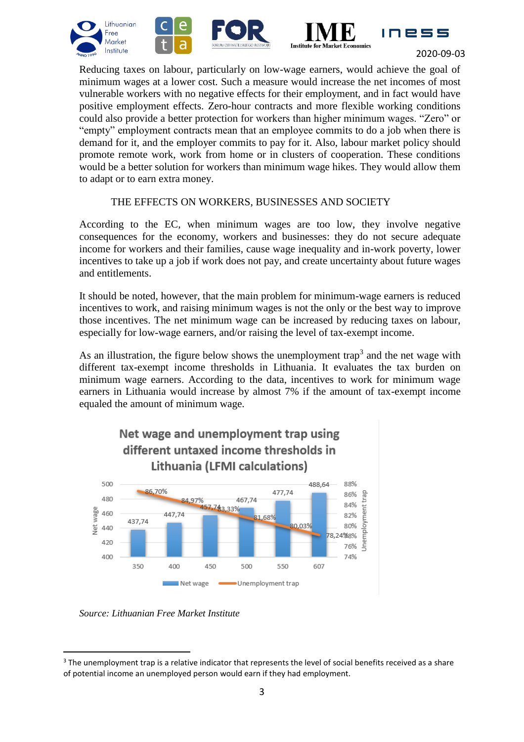





INBSS

Reducing taxes on labour, particularly on low-wage earners, would achieve the goal of minimum wages at a lower cost. Such a measure would increase the net incomes of most vulnerable workers with no negative effects for their employment, and in fact would have positive employment effects. Zero-hour contracts and more flexible working conditions could also provide a better protection for workers than higher minimum wages. "Zero" or "empty" employment contracts mean that an employee commits to do a job when there is demand for it, and the employer commits to pay for it. Also, labour market policy should promote remote work, work from home or in clusters of cooperation. These conditions would be a better solution for workers than minimum wage hikes. They would allow them to adapt or to earn extra money.

## THE EFFECTS ON WORKERS, BUSINESSES AND SOCIETY

According to the EC, when minimum wages are too low, they involve negative consequences for the economy, workers and businesses: they do not secure adequate income for workers and their families, cause wage inequality and in-work poverty, lower incentives to take up a job if work does not pay, and create uncertainty about future wages and entitlements.

It should be noted, however, that the main problem for minimum-wage earners is reduced incentives to work, and raising minimum wages is not the only or the best way to improve those incentives. The net minimum wage can be increased by reducing taxes on labour, especially for low-wage earners, and/or raising the level of tax-exempt income.

As an illustration, the figure below shows the unemployment trap<sup>3</sup> and the net wage with different tax-exempt income thresholds in Lithuania. It evaluates the tax burden on minimum wage earners. According to the data, incentives to work for minimum wage earners in Lithuania would increase by almost 7% if the amount of tax-exempt income equaled the amount of minimum wage.



*Source: Lithuanian Free Market Institute* 

<sup>&</sup>lt;sup>3</sup> The unemployment trap is a relative indicator that represents the level of social benefits received as a share of potential income an unemployed person would earn if they had employment.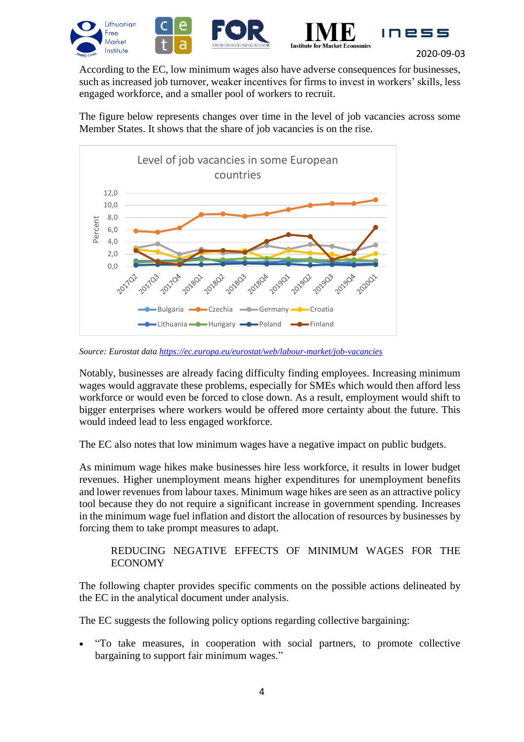



According to the EC, low minimum wages also have adverse consequences for businesses, such as increased job turnover, weaker incentives for firms to invest in workers' skills, less engaged workforce, and a smaller pool of workers to recruit.

The figure below represents changes over time in the level of job vacancies across some Member States. It shows that the share of job vacancies is on the rise.



*Source: Eurostat data<https://ec.europa.eu/eurostat/web/labour-market/job-vacancies>*

Notably, businesses are already facing difficulty finding employees. Increasing minimum wages would aggravate these problems, especially for SMEs which would then afford less workforce or would even be forced to close down. As a result, employment would shift to bigger enterprises where workers would be offered more certainty about the future. This would indeed lead to less engaged workforce.

The EC also notes that low minimum wages have a negative impact on public budgets.

As minimum wage hikes make businesses hire less workforce, it results in lower budget revenues. Higher unemployment means higher expenditures for unemployment benefits and lower revenues from labour taxes. Minimum wage hikes are seen as an attractive policy tool because they do not require a significant increase in government spending. Increases in the minimum wage fuel inflation and distort the allocation of resources by businesses by forcing them to take prompt measures to adapt.

## REDUCING NEGATIVE EFFECTS OF MINIMUM WAGES FOR THE ECONOMY

The following chapter provides specific comments on the possible actions delineated by the EC in the analytical document under analysis.

The EC suggests the following policy options regarding collective bargaining:

 "To take measures, in cooperation with social partners, to promote collective bargaining to support fair minimum wages."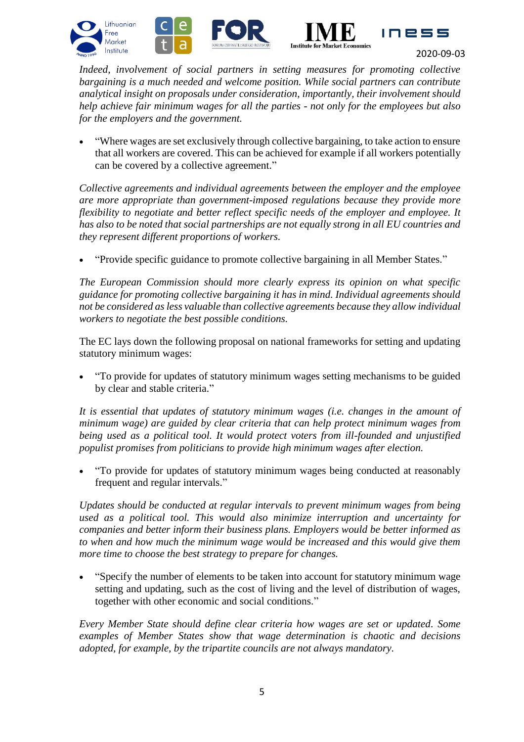





*Indeed, involvement of social partners in setting measures for promoting collective bargaining is a much needed and welcome position. While social partners can contribute analytical insight on proposals under consideration, importantly, their involvement should help achieve fair minimum wages for all the parties - not only for the employees but also for the employers and the government.*

 "Where wages are set exclusively through collective bargaining, to take action to ensure that all workers are covered. This can be achieved for example if all workers potentially can be covered by a collective agreement."

*Collective agreements and individual agreements between the employer and the employee are more appropriate than government-imposed regulations because they provide more flexibility to negotiate and better reflect specific needs of the employer and employee. It has also to be noted that social partnerships are not equally strong in all EU countries and they represent different proportions of workers.*

"Provide specific guidance to promote collective bargaining in all Member States."

*The European Commission should more clearly express its opinion on what specific guidance for promoting collective bargaining it has in mind. Individual agreements should not be considered as less valuable than collective agreements because they allow individual workers to negotiate the best possible conditions.*

The EC lays down the following proposal on national frameworks for setting and updating statutory minimum wages:

 "To provide for updates of statutory minimum wages setting mechanisms to be guided by clear and stable criteria."

*It is essential that updates of statutory minimum wages (i.e. changes in the amount of minimum wage) are guided by clear criteria that can help protect minimum wages from being used as a political tool. It would protect voters from ill-founded and unjustified populist promises from politicians to provide high minimum wages after election.*

 "To provide for updates of statutory minimum wages being conducted at reasonably frequent and regular intervals."

*Updates should be conducted at regular intervals to prevent minimum wages from being used as a political tool. This would also minimize interruption and uncertainty for companies and better inform their business plans. Employers would be better informed as to when and how much the minimum wage would be increased and this would give them more time to choose the best strategy to prepare for changes.*

 "Specify the number of elements to be taken into account for statutory minimum wage setting and updating, such as the cost of living and the level of distribution of wages, together with other economic and social conditions."

*Every Member State should define clear criteria how wages are set or updated. Some examples of Member States show that wage determination is chaotic and decisions adopted, for example, by the tripartite councils are not always mandatory.*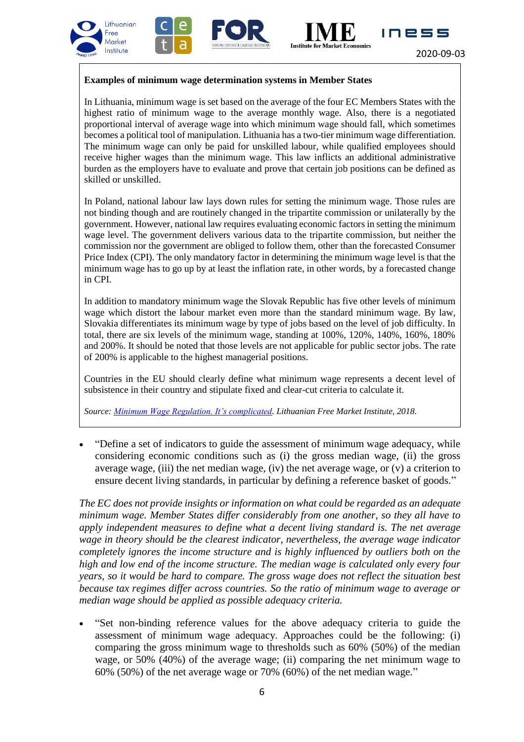





INESS

#### **Examples of minimum wage determination systems in Member States**

In Lithuania, minimum wage is set based on the average of the four EC Members States with the highest ratio of minimum wage to the average monthly wage. Also, there is a negotiated proportional interval of average wage into which minimum wage should fall, which sometimes becomes a political tool of manipulation. Lithuania has a two-tier minimum wage differentiation. The minimum wage can only be paid for unskilled labour, while qualified employees should receive higher wages than the minimum wage. This law inflicts an additional administrative burden as the employers have to evaluate and prove that certain job positions can be defined as skilled or unskilled.

In Poland, national labour law lays down rules for setting the minimum wage. Those rules are not binding though and are routinely changed in the tripartite commission or unilaterally by the government. However, national law requires evaluating economic factors in setting the minimum wage level. The government delivers various data to the tripartite commission, but neither the commission nor the government are obliged to follow them, other than the forecasted Consumer Price Index (CPI). The only mandatory factor in determining the minimum wage level is that the minimum wage has to go up by at least the inflation rate, in other words, by a forecasted change in CPI.

In addition to mandatory minimum wage the Slovak Republic has five other levels of minimum wage which distort the labour market even more than the standard minimum wage. By law, Slovakia differentiates its minimum wage by type of jobs based on the level of job difficulty. In total, there are six levels of the minimum wage, standing at 100%, 120%, 140%, 160%, 180% and 200%. It should be noted that those levels are not applicable for public sector jobs. The rate of 200% is applicable to the highest managerial positions.

Countries in the EU should clearly define what minimum wage represents a decent level of subsistence in their country and stipulate fixed and clear-cut criteria to calculate it.

*Source: [Minimum Wage Regulation. It's complicated.](https://bit.ly/3gl5CQJ) Lithuanian Free Market Institute, 2018.*

 "Define a set of indicators to guide the assessment of minimum wage adequacy, while considering economic conditions such as (i) the gross median wage, (ii) the gross average wage, (iii) the net median wage, (iv) the net average wage, or  $(v)$  a criterion to ensure decent living standards, in particular by defining a reference basket of goods."

*The EC does not provide insights or information on what could be regarded as an adequate minimum wage. Member States differ considerably from one another, so they all have to apply independent measures to define what a decent living standard is. The net average wage in theory should be the clearest indicator, nevertheless, the average wage indicator completely ignores the income structure and is highly influenced by outliers both on the high and low end of the income structure. The median wage is calculated only every four years, so it would be hard to compare. The gross wage does not reflect the situation best because tax regimes differ across countries. So the ratio of minimum wage to average or median wage should be applied as possible adequacy criteria.*

 "Set non-binding reference values for the above adequacy criteria to guide the assessment of minimum wage adequacy. Approaches could be the following: (i) comparing the gross minimum wage to thresholds such as 60% (50%) of the median wage, or 50% (40%) of the average wage; (ii) comparing the net minimum wage to 60% (50%) of the net average wage or 70% (60%) of the net median wage."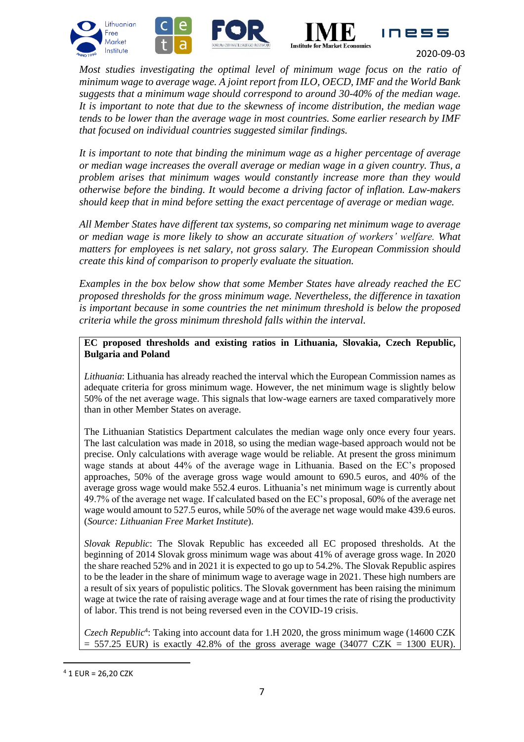





*Most studies investigating the optimal level of minimum wage focus on the ratio of minimum wage to average wage. A joint report from ILO, OECD, IMF and the World Bank suggests that a minimum wage should correspond to around 30-40% of the median wage. It is important to note that due to the skewness of income distribution, the median wage tends to be lower than the average wage in most countries. Some earlier research by IMF that focused on individual countries suggested similar findings.* 

*It is important to note that binding the minimum wage as a higher percentage of average or median wage increases the overall average or median wage in a given country. Thus, a problem arises that minimum wages would constantly increase more than they would otherwise before the binding. It would become a driving factor of inflation. Law-makers should keep that in mind before setting the exact percentage of average or median wage.*

*All Member States have different tax systems, so comparing net minimum wage to average or median wage is more likely to show an accurate situation of workers' welfare. What matters for employees is net salary, not gross salary. The European Commission should create this kind of comparison to properly evaluate the situation.*

*Examples in the box below show that some Member States have already reached the EC proposed thresholds for the gross minimum wage. Nevertheless, the difference in taxation is important because in some countries the net minimum threshold is below the proposed criteria while the gross minimum threshold falls within the interval.*

**EC proposed thresholds and existing ratios in Lithuania, Slovakia, Czech Republic, Bulgaria and Poland**

*Lithuania*: Lithuania has already reached the interval which the European Commission names as adequate criteria for gross minimum wage. However, the net minimum wage is slightly below 50% of the net average wage. This signals that low-wage earners are taxed comparatively more than in other Member States on average.

The Lithuanian Statistics Department calculates the median wage only once every four years. The last calculation was made in 2018, so using the median wage-based approach would not be precise. Only calculations with average wage would be reliable. At present the gross minimum wage stands at about 44% of the average wage in Lithuania. Based on the EC's proposed approaches, 50% of the average gross wage would amount to 690.5 euros, and 40% of the average gross wage would make 552.4 euros. Lithuania's net minimum wage is currently about 49.7% of the average net wage. If calculated based on the EC's proposal, 60% of the average net wage would amount to 527.5 euros, while 50% of the average net wage would make 439.6 euros. (*Source: Lithuanian Free Market Institute*).

*Slovak Republic*: The Slovak Republic has exceeded all EC proposed thresholds. At the beginning of 2014 Slovak gross minimum wage was about 41% of average gross wage. In 2020 the share reached 52% and in 2021 it is expected to go up to 54.2%. The Slovak Republic aspires to be the leader in the share of minimum wage to average wage in 2021. These high numbers are a result of six years of populistic politics. The Slovak government has been raising the minimum wage at twice the rate of raising average wage and at four times the rate of rising the productivity of labor. This trend is not being reversed even in the COVID-19 crisis.

Czech Republic<sup>4</sup>: Taking into account data for 1.H 2020, the gross minimum wage (14600 CZK 557.25 EUR) is exactly 42.8% of the gross average wage (34077 CZK = 1300 EUR).

 $4$  1 EUR = 26,20 CZK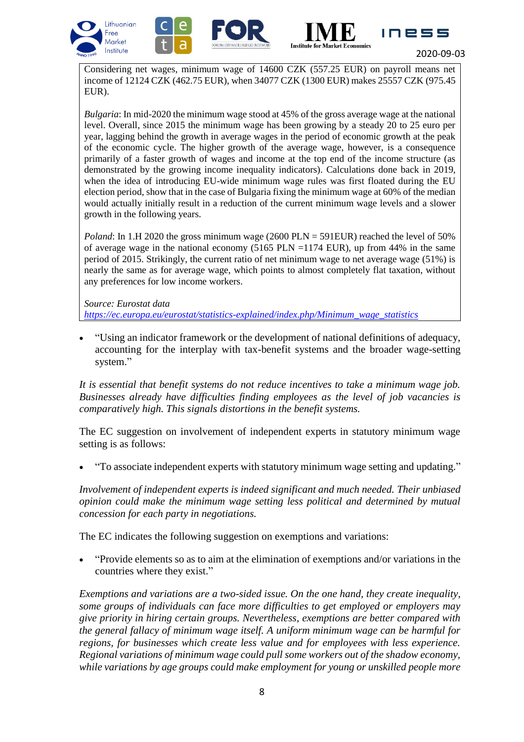





INPS

Considering net wages, minimum wage of 14600 CZK (557.25 EUR) on payroll means net income of 12124 CZK (462.75 EUR), when 34077 CZK (1300 EUR) makes 25557 CZK (975.45 EUR).

*Bulgaria*: In mid-2020 the minimum wage stood at 45% of the gross average wage at the national level. Overall, since 2015 the minimum wage has been growing by a steady 20 to 25 euro per year, lagging behind the growth in average wages in the period of economic growth at the peak of the economic cycle. The higher growth of the average wage, however, is a consequence primarily of a faster growth of wages and income at the top end of the income structure (as demonstrated by the growing income inequality indicators). Calculations done back in 2019, when the idea of introducing EU-wide minimum wage rules was first floated during the EU election period, show that in the case of Bulgaria fixing the minimum wage at 60% of the median would actually initially result in a reduction of the current minimum wage levels and a slower growth in the following years.

*Poland*: In 1.H 2020 the gross minimum wage (2600 PLN = 591EUR) reached the level of 50% of average wage in the national economy  $(5165 \text{ PLN} = 1174 \text{ EUR})$ , up from 44% in the same period of 2015. Strikingly, the current ratio of net minimum wage to net average wage (51%) is nearly the same as for average wage, which points to almost completely flat taxation, without any preferences for low income workers.

#### *Source: Eurostat data*

*[https://ec.europa.eu/eurostat/statistics-explained/index.php/Minimum\\_wage\\_statistics](https://ec.europa.eu/eurostat/statistics-explained/index.php/Minimum_wage_statistics)*

 "Using an indicator framework or the development of national definitions of adequacy, accounting for the interplay with tax-benefit systems and the broader wage-setting system."

*It is essential that benefit systems do not reduce incentives to take a minimum wage job. Businesses already have difficulties finding employees as the level of job vacancies is comparatively high. This signals distortions in the benefit systems.*

The EC suggestion on involvement of independent experts in statutory minimum wage setting is as follows:

"To associate independent experts with statutory minimum wage setting and updating."

*Involvement of independent experts is indeed significant and much needed. Their unbiased opinion could make the minimum wage setting less political and determined by mutual concession for each party in negotiations.*

The EC indicates the following suggestion on exemptions and variations:

 "Provide elements so as to aim at the elimination of exemptions and/or variations in the countries where they exist."

*Exemptions and variations are a two-sided issue. On the one hand, they create inequality, some groups of individuals can face more difficulties to get employed or employers may give priority in hiring certain groups. Nevertheless, exemptions are better compared with the general fallacy of minimum wage itself. A uniform minimum wage can be harmful for regions, for businesses which create less value and for employees with less experience. Regional variations of minimum wage could pull some workers out of the shadow economy, while variations by age groups could make employment for young or unskilled people more*